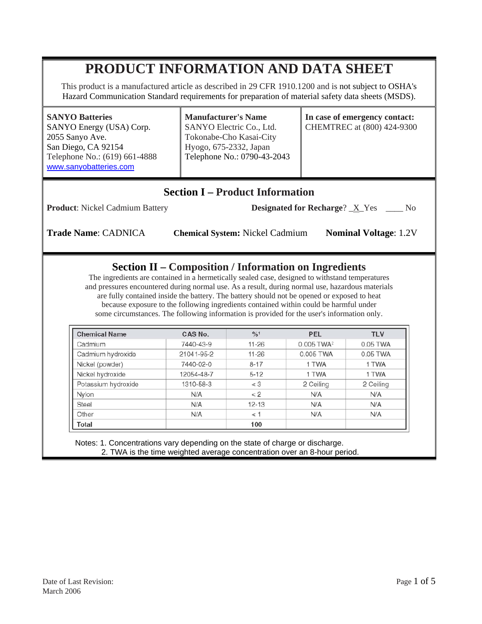# **PRODUCT INFORMATION AND DATA SHEET**

This product is a manufactured article as described in 29 CFR 1910.1200 and is not subject to OSHA's Hazard Communication Standard requirements for preparation of material safety data sheets (MSDS).

**SANYO Batteries**  SANYO Energy (USA) Corp. 2055 Sanyo Ave. San Diego, CA 92154 Telephone No.: (619) 661-4888 www.sanyobatteries.com

**Manufacturer's Name**  SANYO Electric Co., Ltd. Tokonabe-Cho Kasai-City Hyogo, 675-2332, Japan Telephone No.: 0790-43-2043 **In case of emergency contact:**  CHEMTREC at (800) 424-9300

## **Section I – Product Information**

**Product**: Nickel Cadmium Battery **Designated for Recharge**?  $\underline{X}$  Yes \_\_\_ No

**Trade Name**: CADNICA **Chemical System:** Nickel Cadmium **Nominal Voltage**: 1.2V

#### **Section II – Composition / Information on Ingredients**

The ingredients are contained in a hermetically sealed case, designed to withstand temperatures and pressures encountered during normal use. As a result, during normal use, hazardous materials are fully contained inside the battery. The battery should not be opened or exposed to heat because exposure to the following ingredients contained within could be harmful under some circumstances. The following information is provided for the user's information only.

| <b>Chemical Name</b> | CAS No.    | $\frac{9}{6}$ <sup>1</sup> | <b>PEL</b>             | <b>TLV</b> |
|----------------------|------------|----------------------------|------------------------|------------|
| Cadmium              | 7440-43-9  | $11 - 26$                  | 0.005 TWA <sup>2</sup> | 0.05 TWA   |
| Cadmium hydroxide    | 21041-95-2 | $11 - 26$                  | 0.005 TWA              | 0.05 TWA   |
| Nickel (powder)      | 7440-02-0  | $8 - 17$                   | 1 TWA                  | 1 TWA      |
| Nickel hydroxide     | 12054-48-7 | $5 - 12$                   | 1 TWA                  | 1 TWA      |
| Potassium hydroxide  | 1310-58-3  | $<$ 3                      | 2 Ceiling              | 2 Ceiling  |
| Nylon                | N/A        | < 2                        | N/A                    | N/A        |
| Steel                | N/A        | $12 - 13$                  | N/A                    | N/A        |
| Other                | N/A        | < 1                        | N/A                    | N/A        |
| Total                |            | 100                        |                        |            |

 Notes: 1. Concentrations vary depending on the state of charge or discharge. 2. TWA is the time weighted average concentration over an 8-hour period.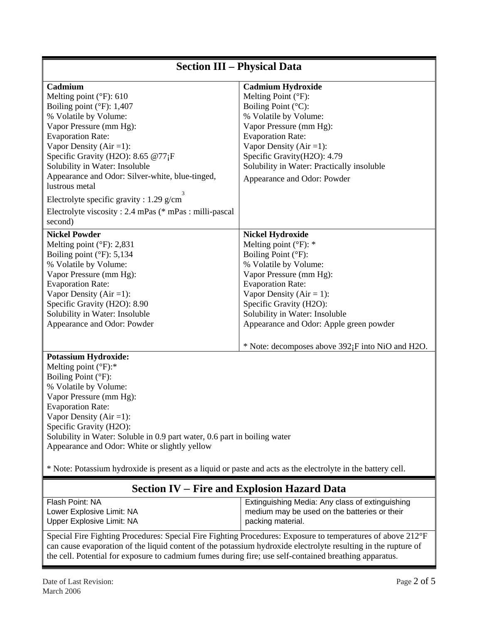| <b>Section III - Physical Data</b>                                                                                                                                                                                                                                                                                                                                                                                                                                |                                                                                                                                                                                                                                                                                                           |  |  |  |
|-------------------------------------------------------------------------------------------------------------------------------------------------------------------------------------------------------------------------------------------------------------------------------------------------------------------------------------------------------------------------------------------------------------------------------------------------------------------|-----------------------------------------------------------------------------------------------------------------------------------------------------------------------------------------------------------------------------------------------------------------------------------------------------------|--|--|--|
| Cadmium<br>Melting point $(^{\circ}F)$ : 610<br>Boiling point $(^{\circ}F)$ : 1,407<br>% Volatile by Volume:<br>Vapor Pressure (mm Hg):<br><b>Evaporation Rate:</b><br>Vapor Density ( $Air = 1$ ):<br>Specific Gravity (H2O): 8.65 @77;F<br>Solubility in Water: Insoluble<br>Appearance and Odor: Silver-white, blue-tinged,<br>lustrous metal<br>Electrolyte specific gravity : 1.29 g/cm<br>Electrolyte viscosity: 2.4 mPas (* mPas : milli-pascal<br>second) | <b>Cadmium Hydroxide</b><br>Melting Point (°F):<br>Boiling Point (°C):<br>% Volatile by Volume:<br>Vapor Pressure (mm Hg):<br><b>Evaporation Rate:</b><br>Vapor Density ( $Air = 1$ ):<br>Specific Gravity(H2O): 4.79<br>Solubility in Water: Practically insoluble<br>Appearance and Odor: Powder        |  |  |  |
| <b>Nickel Powder</b><br>Melting point $(^{\circ}F)$ : 2,831<br>Boiling point $(^{\circ}F)$ : 5,134<br>% Volatile by Volume:<br>Vapor Pressure (mm Hg):<br><b>Evaporation Rate:</b><br>Vapor Density ( $Air = 1$ ):<br>Specific Gravity (H2O): 8.90<br>Solubility in Water: Insoluble<br>Appearance and Odor: Powder                                                                                                                                               | <b>Nickel Hydroxide</b><br>Melting point $(^{\circ}F)$ : *<br>Boiling Point (°F):<br>% Volatile by Volume:<br>Vapor Pressure (mm Hg):<br><b>Evaporation Rate:</b><br>Vapor Density ( $Air = 1$ ):<br>Specific Gravity (H2O):<br>Solubility in Water: Insoluble<br>Appearance and Odor: Apple green powder |  |  |  |
|                                                                                                                                                                                                                                                                                                                                                                                                                                                                   | * Note: decomposes above 392 <sub>i</sub> F into NiO and H2O.                                                                                                                                                                                                                                             |  |  |  |
| <b>Potassium Hydroxide:</b><br>Melting point $(^{\circ}F)$ :*<br>Boiling Point (°F):<br>% Volatile by Volume:<br>Vapor Pressure (mm Hg):<br><b>Evaporation Rate:</b><br>Vapor Density ( $Air = 1$ ):<br>Specific Gravity (H2O):<br>Solubility in Water: Soluble in 0.9 part water, 0.6 part in boiling water<br>Appearance and Odor: White or slightly yellow                                                                                                     |                                                                                                                                                                                                                                                                                                           |  |  |  |
| * Note: Potassium hydroxide is present as a liquid or paste and acts as the electrolyte in the battery cell.<br>Section IV – Fire and Explosion Hazard Data                                                                                                                                                                                                                                                                                                       |                                                                                                                                                                                                                                                                                                           |  |  |  |
| Flash Point: NA<br>Lower Explosive Limit: NA<br>Upper Explosive Limit: NA                                                                                                                                                                                                                                                                                                                                                                                         | Extinguishing Media: Any class of extinguishing<br>medium may be used on the batteries or their<br>packing material.                                                                                                                                                                                      |  |  |  |
| Special Fire Fighting Procedures: Special Fire Fighting Procedures: Exposure to temperatures of above 212°F<br>can cause evaporation of the liquid content of the potassium hydroxide electrolyte resulting in the rupture of<br>the cell. Potential for exposure to cadmium fumes during fire; use self-contained breathing apparatus.                                                                                                                           |                                                                                                                                                                                                                                                                                                           |  |  |  |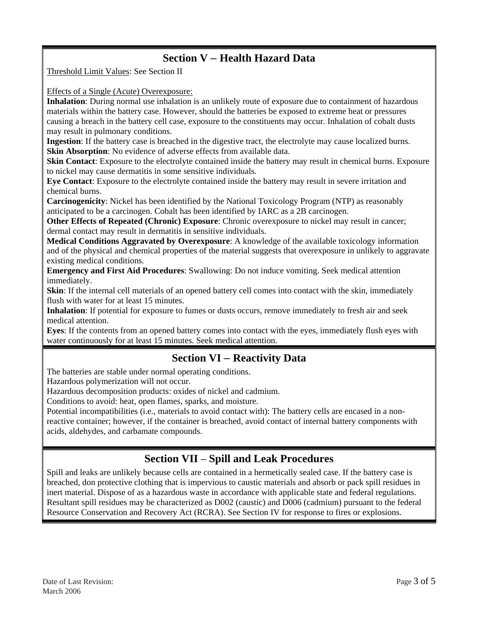## **Section V** – **Health Hazard Data**

Threshold Limit Values: See Section II

Effects of a Single (Acute) Overexposure:

**Inhalation**: During normal use inhalation is an unlikely route of exposure due to containment of hazardous materials within the battery case. However, should the batteries be exposed to extreme heat or pressures causing a breach in the battery cell case, exposure to the constituents may occur. Inhalation of cobalt dusts may result in pulmonary conditions.

**Ingestion**: If the battery case is breached in the digestive tract, the electrolyte may cause localized burns. **Skin Absorption**: No evidence of adverse effects from available data.

**Skin Contact:** Exposure to the electrolyte contained inside the battery may result in chemical burns. Exposure to nickel may cause dermatitis in some sensitive individuals.

**Eye Contact**: Exposure to the electrolyte contained inside the battery may result in severe irritation and chemical burns.

**Carcinogenicity**: Nickel has been identified by the National Toxicology Program (NTP) as reasonably anticipated to be a carcinogen. Cobalt has been identified by IARC as a 2B carcinogen.

**Other Effects of Repeated (Chronic) Exposure**: Chronic overexposure to nickel may result in cancer; dermal contact may result in dermatitis in sensitive individuals.

**Medical Conditions Aggravated by Overexposure**: A knowledge of the available toxicology information and of the physical and chemical properties of the material suggests that overexposure in unlikely to aggravate existing medical conditions.

**Emergency and First Aid Procedures**: Swallowing: Do not induce vomiting. Seek medical attention immediately.

**Skin**: If the internal cell materials of an opened battery cell comes into contact with the skin, immediately flush with water for at least 15 minutes.

**Inhalation**: If potential for exposure to fumes or dusts occurs, remove immediately to fresh air and seek medical attention.

**Eyes**: If the contents from an opened battery comes into contact with the eyes, immediately flush eyes with water continuously for at least 15 minutes. Seek medical attention.

#### **Section VI** – **Reactivity Data**

The batteries are stable under normal operating conditions.

Hazardous polymerization will not occur.

Hazardous decomposition products: oxides of nickel and cadmium.

Conditions to avoid: heat, open flames, sparks, and moisture.

Potential incompatibilities (i.e., materials to avoid contact with): The battery cells are encased in a nonreactive container; however, if the container is breached, avoid contact of internal battery components with acids, aldehydes, and carbamate compounds.

#### **Section VII** – **Spill and Leak Procedures**

Spill and leaks are unlikely because cells are contained in a hermetically sealed case. If the battery case is breached, don protective clothing that is impervious to caustic materials and absorb or pack spill residues in inert material. Dispose of as a hazardous waste in accordance with applicable state and federal regulations. Resultant spill residues may be characterized as D002 (caustic) and D006 (cadmium) pursuant to the federal Resource Conservation and Recovery Act (RCRA). See Section IV for response to fires or explosions.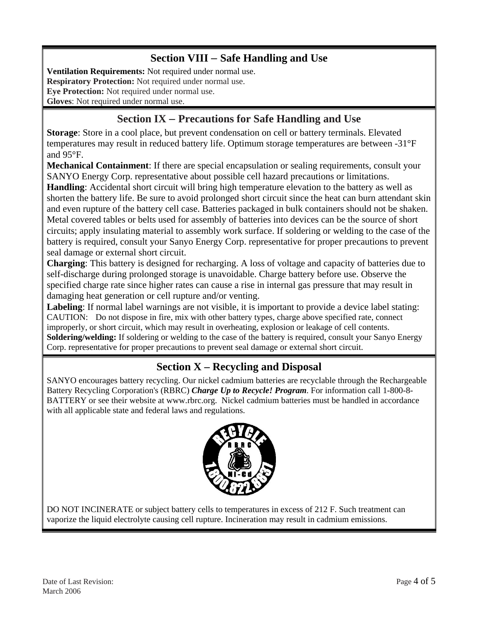## **Section VIII** – **Safe Handling and Use**

**Ventilation Requirements:** Not required under normal use. **Respiratory Protection:** Not required under normal use. **Eye Protection:** Not required under normal use. **Gloves**: Not required under normal use.

# **Section IX** – **Precautions for Safe Handling and Use**

**Storage**: Store in a cool place, but prevent condensation on cell or battery terminals. Elevated temperatures may result in reduced battery life. Optimum storage temperatures are between -31°F and 95°F.

**Mechanical Containment**: If there are special encapsulation or sealing requirements, consult your SANYO Energy Corp. representative about possible cell hazard precautions or limitations.

**Handling**: Accidental short circuit will bring high temperature elevation to the battery as well as shorten the battery life. Be sure to avoid prolonged short circuit since the heat can burn attendant skin and even rupture of the battery cell case. Batteries packaged in bulk containers should not be shaken. Metal covered tables or belts used for assembly of batteries into devices can be the source of short circuits; apply insulating material to assembly work surface. If soldering or welding to the case of the battery is required, consult your Sanyo Energy Corp. representative for proper precautions to prevent seal damage or external short circuit.

**Charging**: This battery is designed for recharging. A loss of voltage and capacity of batteries due to self-discharge during prolonged storage is unavoidable. Charge battery before use. Observe the specified charge rate since higher rates can cause a rise in internal gas pressure that may result in damaging heat generation or cell rupture and/or venting.

**Labeling**: If normal label warnings are not visible, it is important to provide a device label stating: CAUTION: Do not dispose in fire, mix with other battery types, charge above specified rate, connect improperly, or short circuit, which may result in overheating, explosion or leakage of cell contents. **Soldering/welding:** If soldering or welding to the case of the battery is required, consult your Sanyo Energy Corp. representative for proper precautions to prevent seal damage or external short circuit.

## **Section X – Recycling and Disposal**

SANYO encourages battery recycling. Our nickel cadmium batteries are recyclable through the Rechargeable Battery Recycling Corporation's (RBRC) *Charge Up to Recycle! Program*. For information call 1-800-8- BATTERY or see their website at www.rbrc.org. Nickel cadmium batteries must be handled in accordance with all applicable state and federal laws and regulations.



DO NOT INCINERATE or subject battery cells to temperatures in excess of 212 F. Such treatment can vaporize the liquid electrolyte causing cell rupture. Incineration may result in cadmium emissions.